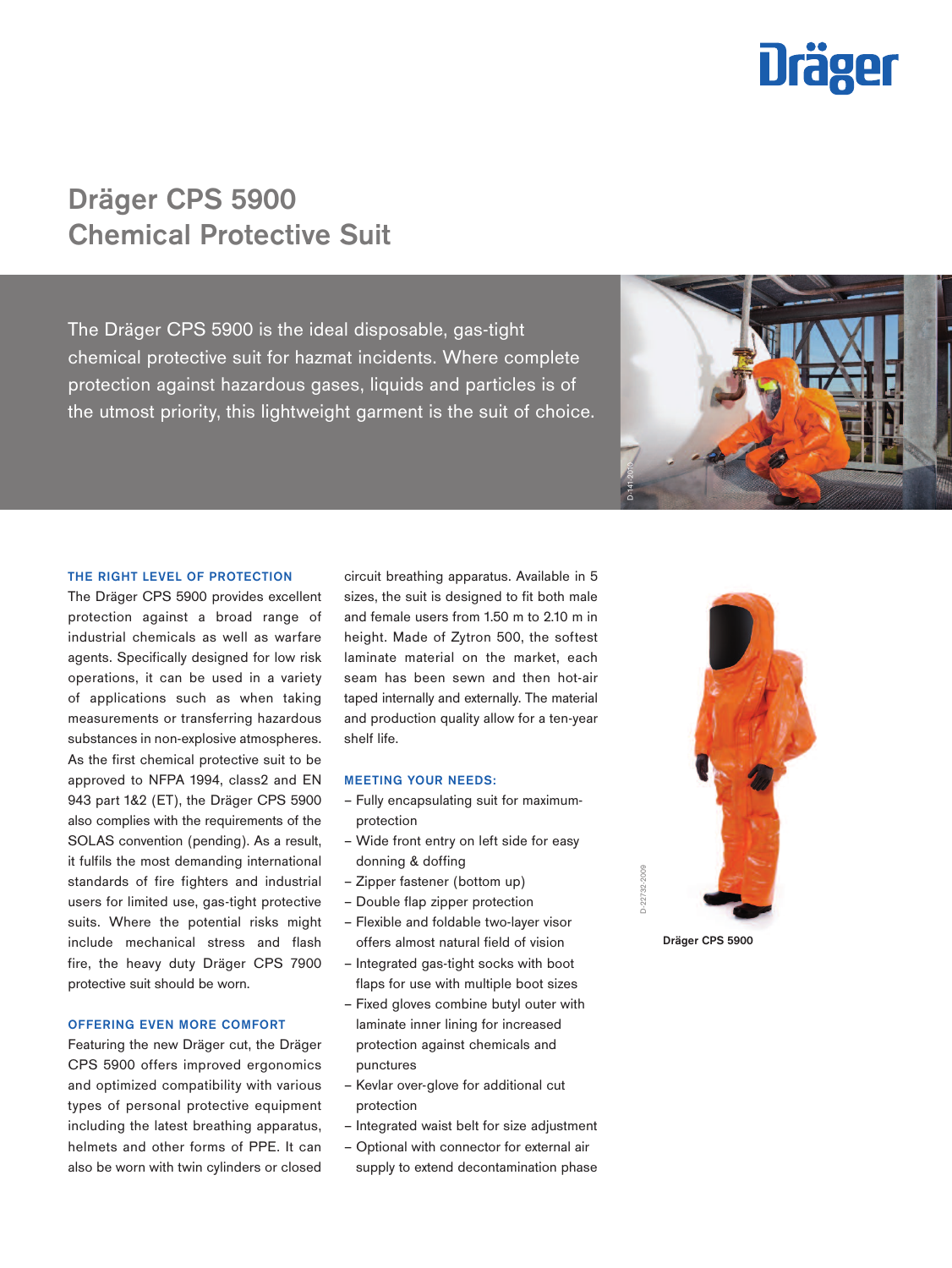

# Dräger CPS 5900 Chemical Protective Suit

The Dräger CPS 5900 is the ideal disposable, gas-tight chemical protective suit for hazmat incidents. Where complete protection against hazardous gases, liquids and particles is of the utmost priority, this lightweight garment is the suit of choice.



#### THE RIGHT LEVEL OF PROTECTION

The Dräger CPS 5900 provides excellent protection against a broad range of industrial chemicals as well as warfare agents. Specifically designed for low risk operations, it can be used in a variety of applications such as when taking measurements or transferring hazardous substances in non-explosive atmospheres. As the first chemical protective suit to be approved to NFPA 1994, class2 and EN 943 part 1&2 (ET), the Dräger CPS 5900 also complies with the requirements of the SOLAS convention (pending). As a result, it fulfils the most demanding international standards of fire fighters and industrial users for limited use, gas-tight protective suits. Where the potential risks might include mechanical stress and flash fire, the heavy duty Dräger CPS 7900 protective suit should be worn.

## OFFERING EVEN MORE COMFORT

Featuring the new Dräger cut, the Dräger CPS 5900 offers improved ergonomics and optimized compatibility with various types of personal protective equipment including the latest breathing apparatus, helmets and other forms of PPE. It can also be worn with twin cylinders or closed

circuit breathing apparatus. Available in 5 sizes, the suit is designed to fit both male and female users from 1.50 m to 2.10 m in height. Made of Zytron 500, the softest laminate material on the market, each seam has been sewn and then hot-air taped internally and externally. The material and production quality allow for a ten-year shelf life.

#### MEETING YOUR NEEDS:

- Fully encapsulating suit for maximumprotection
- Wide front entry on left side for easy donning & doffing
- Zipper fastener (bottom up)
- Double flap zipper protection
- Flexible and foldable two-layer visor offers almost natural field of vision
- Integrated gas-tight socks with boot flaps for use with multiple boot sizes
- Fixed gloves combine butyl outer with laminate inner lining for increased protection against chemicals and punctures
- Kevlar over-glove for additional cut protection
- Integrated waist belt for size adjustment
- Optional with connector for external air supply to extend decontamination phase



Dräger CPS 5900

D-22732-2009

D-22732-2009